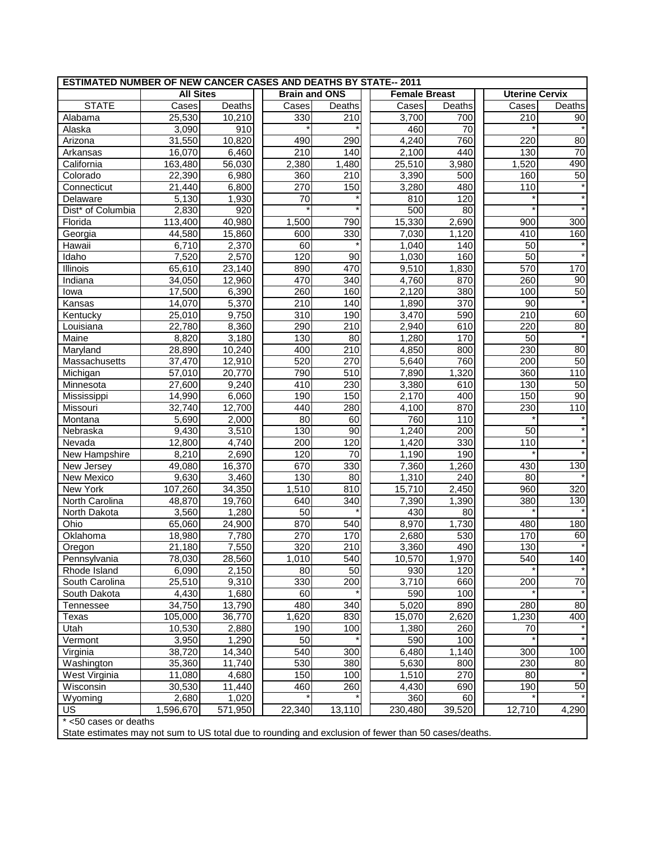| <b>ESTIMATED NUMBER OF NEW CANCER CASES AND DEATHS BY STATE-- 2011</b> |                     |                |                      |                  |  |                      |        |                       |                 |
|------------------------------------------------------------------------|---------------------|----------------|----------------------|------------------|--|----------------------|--------|-----------------------|-----------------|
|                                                                        | <b>All Sites</b>    |                | <b>Brain and ONS</b> |                  |  | <b>Female Breast</b> |        | <b>Uterine Cervix</b> |                 |
| <b>STATE</b>                                                           | Cases               | Deaths         | Cases                | Deaths           |  | Cases                | Deaths | Cases                 | Deaths          |
| Alabama                                                                | 25,530              | 10,210         | 330                  | 210              |  | 3,700                | 700    | 210                   | 90              |
| Alaska                                                                 | 3,090               | 910            |                      |                  |  | 460                  | 70     |                       |                 |
| Arizona                                                                | 31,550              | 10,820         | 490                  | 290              |  | 4,240                | 760    | 220                   | 80              |
| Arkansas                                                               | 16,070              | 6,460          | 210                  | 140              |  | 2,100                | 440    | 130                   | 70              |
| California                                                             | 163,480             | 56,030         | 2,380                | 1,480            |  | 25,510               | 3,980  | 1,520                 | 490             |
| Colorado                                                               | 22,390              | 6,980          | 360                  | 210              |  | 3,390                | 500    | 160                   | 50              |
| Connecticut                                                            | $\overline{2}1,440$ | 6,800          | 270                  | 150              |  | 3,280                | 480    | 110                   |                 |
| Delaware                                                               | 5,130               | 1,930          | 70                   |                  |  | 810                  | 120    |                       |                 |
| Dist* of Columbia                                                      | 2,830               | 920            |                      |                  |  | 500                  | 80     |                       |                 |
| Florida                                                                | 113,400             | 40,980         | 1,500                | 790              |  | 15,330               | 2,690  | 900                   | 300             |
| Georgia                                                                | 44,580              | 15,860         | 600                  | 330              |  | 7,030                | 1,120  | 410                   | 160             |
| Hawaii                                                                 | 6,710               | 2,370          | 60                   |                  |  | 1,040                | 140    | 50                    |                 |
| Idaho                                                                  | 7,520               | 2,570          | 120                  | 90               |  | 1,030                | 160    | 50                    |                 |
| Illinois                                                               | 65,610              | 23,140         | 890                  | 470              |  | 9,510                | 1,830  | 570                   | 170             |
| Indiana                                                                | 34,050              | 12,960         | 470                  | 340              |  | 4,760                | 870    | 260                   | 90              |
| lowa                                                                   | 17,500              | 6,390          | 260                  | 160              |  | 2,120                | 380    | 100                   | 50              |
| Kansas                                                                 | 14,070              | 5,370          | 210                  | 140              |  | 1,890                | 370    | 90                    |                 |
| Kentucky                                                               | 25,010              | 9,750          | 310                  | 190              |  | 3,470                | 590    | 210                   | 60              |
| Louisiana                                                              | 22,780              | 8,360          | 290                  | $\overline{210}$ |  | 2,940                | 610    | 220                   | 80              |
| Maine                                                                  | 8,820               | 3,180          | 130                  | 80               |  | 1,280                | 170    | 50                    |                 |
| Maryland                                                               | 28,890              | 10,240         | 400                  | 210              |  | 4,850                | 800    | 230                   | 80              |
| Massachusetts                                                          | 37,470              | 12,910         | 520                  | 270              |  | 5,640                | 760    | 200                   | 50              |
| Michigan                                                               | 57,010              | 20,770         | 790                  | 510              |  | 7,890                | 1,320  | 360                   | 110             |
| Minnesota                                                              | 27,600              | 9,240          | 410                  | 230              |  | 3,380                | 610    | 130                   | 50              |
| Mississippi                                                            | 14,990              | 6,060          | 190                  | 150              |  | 2,170                | 400    | 150                   | $\overline{90}$ |
| Missouri                                                               | 32,740              | 12,700         | 440                  | 280              |  | 4,100                | 870    | 230                   | 110             |
| Montana                                                                | 5,690               | 2,000          | 80                   | 60               |  | 760                  | 110    |                       |                 |
| Nebraska                                                               | 9,430               | 3,510          | 130                  | $\overline{90}$  |  | 1,240                | 200    | 50                    |                 |
| Nevada                                                                 | 12,800              | 4,740          | 200                  | 120              |  | 1,420                | 330    | 110                   |                 |
| New Hampshire                                                          | 8,210               | 2,690          | 120                  | 70               |  | 1,190                | 190    |                       |                 |
| New Jersey                                                             | 49,080              | 16,370         | 670                  | 330              |  | 7,360                | 1,260  | 430                   | 130             |
| New Mexico                                                             | 9,630               | 3,460          | 130                  | 80               |  | 1,310                | 240    | 80                    |                 |
| New York                                                               | 107,260             | 34,350         | 1,510                | 810              |  | 15,710               | 2,450  | 960                   | 320             |
| North Carolina                                                         | 48,870              | 19,760         | 640                  | 340              |  | 7,390                | 1,390  | 380                   | 130             |
| North Dakota                                                           | 3,560               | 1,280          | 50                   |                  |  | 430                  | 80     |                       |                 |
| Ohio                                                                   | 65,060              | 24,900         | 870                  | 540              |  | 8,970                | 1,730  | 480                   | 180             |
| Oklahoma                                                               | 18,980              | 7,780          | 270                  | 170              |  | 2,680                | 530    | 170                   | 60              |
| Oregon                                                                 | 21,180              | 7,550          | 320                  | 210              |  | 3,360                | 490    | 130                   |                 |
| Pennsylvania                                                           | 78,030              | 28,560         | 1,010                | 540              |  | 10,570               | 1,970  | 540                   | 140             |
| Rhode Island                                                           | 6,090               | 2,150          | 80                   | 50               |  | 930                  | 120    |                       |                 |
| South Carolina                                                         | 25,510              | 9,310          | 330                  | 200              |  | 3,710                | 660    | 200                   | 70              |
| South Dakota                                                           | 4,430               | 1,680          | 60                   |                  |  | 590                  | 100    |                       |                 |
| Tennessee                                                              | 34,750              | 13,790         | 480                  | 340              |  | 5,020                | 890    | 280                   | 80              |
|                                                                        | 105,000             | 36,770         | 1,620                | 830              |  | 15,070               | 2,620  | 1,230                 | 400             |
| Texas                                                                  | 10,530              |                | 190                  | 100              |  | 1,380                | 260    | 70                    |                 |
| Utah<br>Vermont                                                        | 3,950               | 2,880<br>1,290 | 50                   |                  |  | 590                  | 100    |                       |                 |
|                                                                        |                     |                | 540                  | 300              |  | 6,480                |        | 300                   |                 |
| Virginia                                                               | 38,720              | 14,340         |                      |                  |  |                      | 1,140  |                       | 100             |
| Washington                                                             | 35,360              | 11,740         | 530                  | 380              |  | 5,630                | 800    | 230<br>80             | 80              |
| West Virginia                                                          | 11,080              | 4,680          | 150                  | 100              |  | 1,510                | 270    |                       |                 |
| Wisconsin                                                              | 30,530              | 11,440         | 460                  | 260              |  | 4,430                | 690    | 190                   | 50              |
| Wyoming                                                                | 2,680               | 1,020          |                      |                  |  | 360                  | 60     |                       |                 |
| <b>US</b>                                                              | 1,596,670           | 571,950        | 22,340               | 13,110           |  | 230,480              | 39,520 | 12,710                | 4,290           |
| $*$ <50 cases or deaths                                                |                     |                |                      |                  |  |                      |        |                       |                 |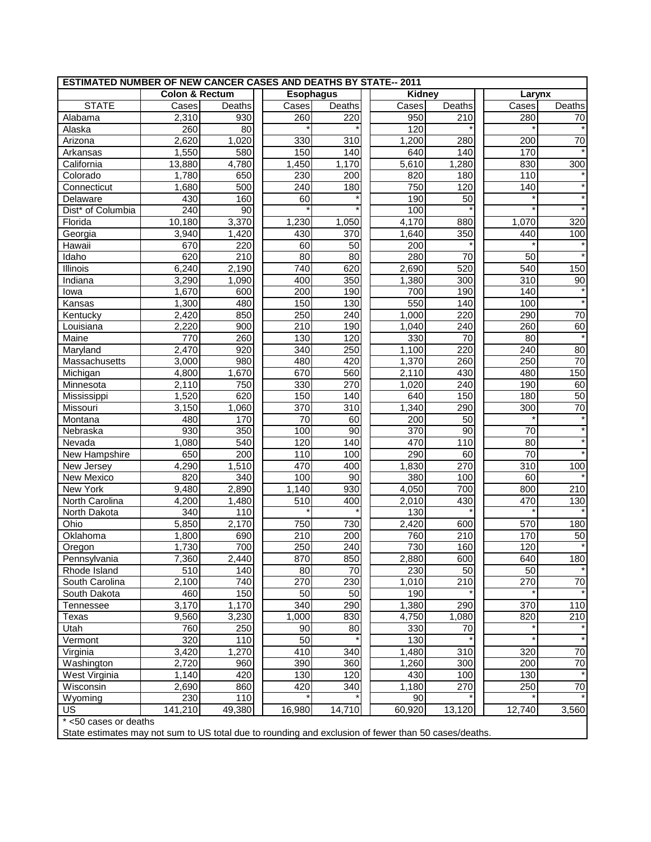| <b>ESTIMATED NUMBER OF NEW CANCER CASES AND DEATHS BY STATE-- 2011</b> |                           |        |           |        |  |               |        |                  |        |
|------------------------------------------------------------------------|---------------------------|--------|-----------|--------|--|---------------|--------|------------------|--------|
|                                                                        | <b>Colon &amp; Rectum</b> |        | Esophagus |        |  | <b>Kidney</b> |        | Larynx           |        |
| <b>STATE</b>                                                           | Cases                     | Deaths | Cases     | Deaths |  | Cases         | Deaths | Cases            | Deaths |
| Alabama                                                                | 2,310                     | 930    | 260       | 220    |  | 950           | 210    | 280              | 70     |
| Alaska                                                                 | 260                       | 80     |           |        |  | 120           |        |                  |        |
| Arizona                                                                | 2,620                     | 1,020  | 330       | 310    |  | 1,200         | 280    | 200              | 70     |
| Arkansas                                                               | 1,550                     | 580    | 150       | 140    |  | 640           | 140    | 170              |        |
| California                                                             | 13,880                    | 4,780  | 1,450     | 1,170  |  | 5,610         | 1,280  | 830              | 300    |
| Colorado                                                               | 1,780                     | 650    | 230       | 200    |  | 820           | 180    | 110              |        |
| Connecticut                                                            | 1,680                     | 500    | 240       | 180    |  | 750           | 120    | 140              |        |
| Delaware                                                               | 430                       | 160    | 60        |        |  | 190           | 50     |                  |        |
| Dist* of Columbia                                                      | 240                       | 90     |           |        |  | 100           |        |                  |        |
| Florida                                                                | 10,180                    | 3,370  | 1,230     | 1,050  |  | 4,170         | 880    | 1,070            | 320    |
| Georgia                                                                | 3,940                     | 1,420  | 430       | 370    |  | 1,640         | 350    | 440              | 100    |
| Hawaii                                                                 | 670                       | 220    | 60        | 50     |  | 200           |        |                  |        |
| Idaho                                                                  | 620                       | 210    | 80        | 80     |  | 280           | 70     | 50               |        |
| Illinois                                                               | 6,240                     | 2,190  | 740       | 620    |  | 2,690         | 520    | 540              | 150    |
| Indiana                                                                | 3,290                     | 1,090  | 400       | 350    |  | 1,380         | 300    | 310              | 90     |
| lowa                                                                   | 1,670                     | 600    | 200       | 190    |  | 700           | 190    | 140              |        |
| Kansas                                                                 | 1,300                     | 480    | 150       | 130    |  | 550           | 140    | 100              |        |
| Kentucky                                                               | 2,420                     | 850    | 250       | 240    |  | 1,000         | 220    | 290              | 70     |
| Louisiana                                                              | 2,220                     | 900    | 210       | 190    |  | 1,040         | 240    | 260              | 60     |
| Maine                                                                  | 770                       | 260    | 130       | 120    |  | 330           | 70     | 80               |        |
| Maryland                                                               | 2,470                     | 920    | 340       | 250    |  | 1,100         | 220    | 240              | 80     |
| Massachusetts                                                          | 3,000                     | 980    | 480       | 420    |  | 1,370         | 260    | 250              | 70     |
| Michigan                                                               | 4,800                     | 1,670  | 670       | 560    |  | 2,110         | 430    | 480              | 150    |
| Minnesota                                                              | 2,110                     | 750    | 330       | 270    |  | 1,020         | 240    | 190              | 60     |
| Mississippi                                                            | 1,520                     | 620    | 150       | 140    |  | 640           | 150    | 180              | 50     |
| Missouri                                                               | 3,150                     | 1,060  | 370       | 310    |  | 1,340         | 290    | 300              | 70     |
| Montana                                                                | 480                       | 170    | 70        | 60     |  | 200           | 50     |                  |        |
| Nebraska                                                               | 930                       | 350    | 100       | 90     |  | 370           | 90     | 70               |        |
| Nevada                                                                 | 1,080                     | 540    | 120       | 140    |  | 470           | 110    | 80               |        |
| New Hampshire                                                          | 650                       | 200    | 110       | 100    |  | 290           | 60     | 70               |        |
| New Jersey                                                             | 4,290                     | 1,510  | 470       | 400    |  | 1,830         | 270    | $\overline{310}$ | 100    |
| New Mexico                                                             | 820                       | 340    | 100       | 90     |  | 380           | 100    | 60               |        |
| New York                                                               | 9,480                     | 2,890  | 1,140     | 930    |  | 4,050         | 700    | 800              | 210    |
| North Carolina                                                         | 4,200                     | 1,480  | 510       | 400    |  | 2,010         | 430    | 470              | 130    |
| North Dakota                                                           | 340                       | 110    |           |        |  | 130           |        |                  |        |
| Ohio                                                                   | 5,850                     | 2,170  | 750       | 730    |  | 2,420         | 600    | 570              | 180    |
| Oklahoma                                                               | 1,800                     | 690    | 210       | 200    |  | 760           | 210    | 170              | 50     |
| Oregon                                                                 | 1,730                     | 700    | 250       | 240    |  | 730           | 160    | 120              |        |
| Pennsylvania                                                           | 7,360                     | 2,440  | 870       | 850    |  | 2,880         | 600    | 640              | 180    |
| Rhode Island                                                           | 510                       | 140    | 80        | 70     |  | 230           | 50     | 50               |        |
| South Carolina                                                         | 2,100                     | 740    | 270       | 230    |  | 1,010         | 210    | 270              | 70     |
| South Dakota                                                           | 460                       | 150    | 50        | 50     |  | 190           |        |                  |        |
| Tennessee                                                              | 3,170                     | 1,170  | 340       | 290    |  | 1,380         | 290    | 370              | 110    |
| Texas                                                                  | 9,560                     | 3,230  | 1,000     | 830    |  | 4,750         | 1,080  | 820              | 210    |
| Utah                                                                   | 760                       | 250    | 90        | 80     |  | 330           | 70     |                  |        |
| Vermont                                                                | 320                       | 110    | 50        |        |  | 130           |        |                  |        |
| Virginia                                                               | 3,420                     | 1,270  | 410       | 340    |  | 1,480         | 310    | 320              | 70     |
| Washington                                                             | 2,720                     | 960    | 390       | 360    |  | 1,260         | 300    | 200              | $70\,$ |
| West Virginia                                                          | 1,140                     | 420    | 130       | 120    |  | 430           | 100    | 130              |        |
| Wisconsin                                                              | 2,690                     | 860    | 420       | 340    |  | 1,180         | 270    | 250              | $70\,$ |
| Wyoming                                                                | 230                       | 110    |           |        |  | 90            |        |                  |        |
| <b>US</b>                                                              | 141,210                   | 49,380 | 16,980    | 14,710 |  | 60,920        | 13,120 | 12,740           | 3,560  |
| * <50 cases or deaths                                                  |                           |        |           |        |  |               |        |                  |        |
|                                                                        |                           |        |           |        |  |               |        |                  |        |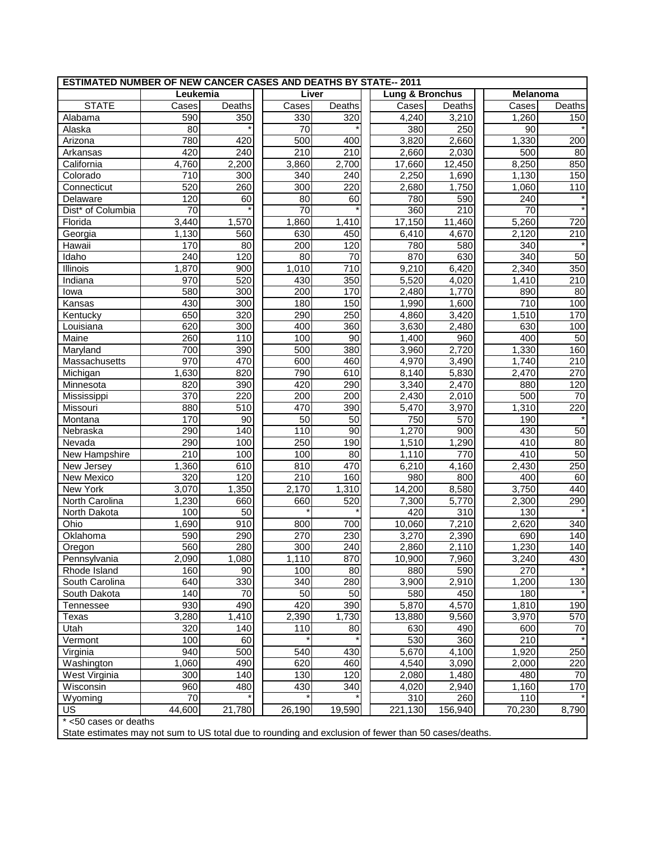| ESTIMATED NUMBER OF NEW CANCER CASES AND DEATHS BY STATE-- 2011 |          |        |                 |                 |  |                 |                  |          |                  |
|-----------------------------------------------------------------|----------|--------|-----------------|-----------------|--|-----------------|------------------|----------|------------------|
|                                                                 | Leukemia |        | Liver           |                 |  | Lung & Bronchus |                  | Melanoma |                  |
| <b>STATE</b>                                                    | Cases    | Deaths | Cases           | Deaths          |  | Cases           | Deaths           | Cases    | Deaths           |
| Alabama                                                         | 590      | 350    | 330             | 320             |  | 4,240           | 3,210            | 1,260    | 150              |
| Alaska                                                          | 80       |        | $\overline{70}$ |                 |  | 380             | 250              | 90       |                  |
| Arizona                                                         | 780      | 420    | 500             | 400             |  | 3,820           | 2,660            | 1,330    | 200              |
| Arkansas                                                        | 420      | 240    | 210             | 210             |  | 2,660           | 2,030            | 500      | 80               |
| California                                                      | 4,760    | 2,200  | 3,860           | 2,700           |  | 17,660          | 12,450           | 8,250    | 850              |
| Colorado                                                        | 710      | 300    | 340             | 240             |  | 2,250           | 1,690            | 1,130    | 150              |
| Connecticut                                                     | 520      | 260    | 300             | 220             |  | 2,680           | 1,750            | 1,060    | $\overline{1}10$ |
| Delaware                                                        | 120      | 60     | 80              | 60              |  | 780             | 590              | 240      |                  |
| Dist <sup>*</sup> of Columbia                                   | 70       |        | $\overline{70}$ |                 |  | 360             | $\overline{210}$ | 70       |                  |
| Florida                                                         | 3,440    | 1,570  | 1,860           | 1,410           |  | 17,150          | 11,460           | 5,260    | 720              |
| Georgia                                                         | 1,130    | 560    | 630             | 450             |  | 6,410           | 4,670            | 2,120    | 210              |
| Hawaii                                                          | 170      | 80     | 200             | 120             |  | 780             | 580              | 340      |                  |
| Idaho                                                           | 240      | 120    | 80              | $\overline{70}$ |  | 870             | 630              | 340      | 50               |
| Illinois                                                        | 1,870    | 900    | 1,010           | 710             |  | 9,210           | 6,420            | 2,340    | 350              |
| Indiana                                                         | 970      | 520    | 430             | 350             |  | 5,520           | 4,020            | 1,410    | 210              |
| lowa                                                            | 580      | 300    | 200             | 170             |  | 2,480           | 1,770            | 890      | 80               |
| Kansas                                                          | 430      | 300    | 180             | 150             |  | 1,990           | 1,600            | 710      | 100              |
| Kentucky                                                        | 650      | 320    | 290             | 250             |  | 4,860           | 3,420            | 1,510    | 170              |
| Louisiana                                                       | 620      | 300    | 400             | 360             |  | 3,630           | 2,480            | 630      | 100              |
| Maine                                                           | 260      | 110    | 100             | 90              |  | 1,400           | 960              | 400      | 50               |
| Maryland                                                        | 700      | 390    | 500             | 380             |  | 3,960           | 2,720            | 1,330    | 160              |
| Massachusetts                                                   | 970      | 470    | 600             | 460             |  | 4,970           | 3,490            | 1,740    | 210              |
| Michigan                                                        | 1,630    | 820    | 790             | 610             |  | 8,140           | 5,830            | 2,470    | 270              |
| Minnesota                                                       | 820      | 390    | 420             | 290             |  | 3,340           | 2,470            | 880      | 120              |
| Mississippi                                                     | 370      | 220    | 200             | 200             |  | 2,430           | 2,010            | 500      | 70               |
| Missouri                                                        | 880      | 510    | 470             | 390             |  | 5,470           | 3,970            | 1,310    | 220              |
| Montana                                                         | 170      | 90     | 50              | 50              |  | 750             | 570              | 190      |                  |
| Nebraska                                                        | 290      | 140    | 110             | 90              |  | 1,270           | 900              | 430      | 50               |
| Nevada                                                          | 290      | 100    | 250             | 190             |  | 1,510           | 1,290            | 410      | 80               |
| New Hampshire                                                   | 210      | 100    | 100             | 80              |  | 1,110           | 770              | 410      | 50               |
| New Jersey                                                      | 1,360    | 610    | 810             | 470             |  | 6,210           | 4,160            | 2,430    | 250              |
| New Mexico                                                      | 320      | 120    | 210             | 160             |  | 980             | 800              | 400      | 60               |
| New York                                                        | 3,070    | 1,350  | 2,170           | 1,310           |  | 14,200          | 8,580            | 3,750    | 440              |
| North Carolina                                                  | 1,230    | 660    | 660             | 520             |  | 7,300           | 5,770            | 2,300    | 290              |
| North Dakota                                                    | 100      | 50     |                 |                 |  | 420             | 310              | 130      |                  |
| Ohio                                                            | 1,690    | 910    | 800             | 700             |  | 10,060          | 7,210            | 2,620    | 340              |
| Oklahoma                                                        | 590      | 290    | 270             | 230             |  | 3,270           | 2,390            | 690      | 140              |
| Oregon                                                          | 560      | 280    | 300             | 240             |  | 2,860           | 2,110            | 1,230    | 140              |
| Pennsylvania                                                    | 2,090    | 1,080  | 1,110           | 870             |  | 10,900          | 7,960            | 3,240    | 430              |
| Rhode Island                                                    | 160      | 90     | 100             | 80              |  | 880             | 590              | 270      |                  |
| South Carolina                                                  | 640      | 330    | 340             | 280             |  | 3,900           | 2,910            | 1,200    | 130              |
| South Dakota                                                    | 140      | 70     | 50              | 50              |  | 580             | 450              | 180      |                  |
| Tennessee                                                       | 930      | 490    | 420             | 390             |  | 5,870           | 4,570            | 1,810    | 190              |
| Texas                                                           | 3,280    | 1,410  | 2,390           | 1,730           |  | 13,880          | 9,560            | 3,970    | 570              |
| Utah                                                            | 320      | 140    | 110             | 80              |  | 630             | 490              | 600      | 70               |
| Vermont                                                         | 100      | 60     |                 |                 |  | 530             | 360              | 210      |                  |
| Virginia                                                        | 940      | 500    | 540             | 430             |  | 5,670           | 4,100            | 1,920    | 250              |
| Washington                                                      | 1,060    | 490    | 620             | 460             |  | 4,540           | 3,090            | 2,000    | 220              |
| West Virginia                                                   | 300      | 140    | 130             | 120             |  | 2,080           | 1,480            | 480      | 70               |
| Wisconsin                                                       | 960      | 480    | 430             | 340             |  | 4,020           | 2,940            | 1,160    | 170              |
| Wyoming                                                         | 70       |        |                 |                 |  | 310             | 260              | 110      |                  |
| US                                                              | 44,600   | 21,780 | 26,190          | 19,590          |  | 221,130         | 156,940          | 70,230   | 8,790            |
| * <50 cases or deaths                                           |          |        |                 |                 |  |                 |                  |          |                  |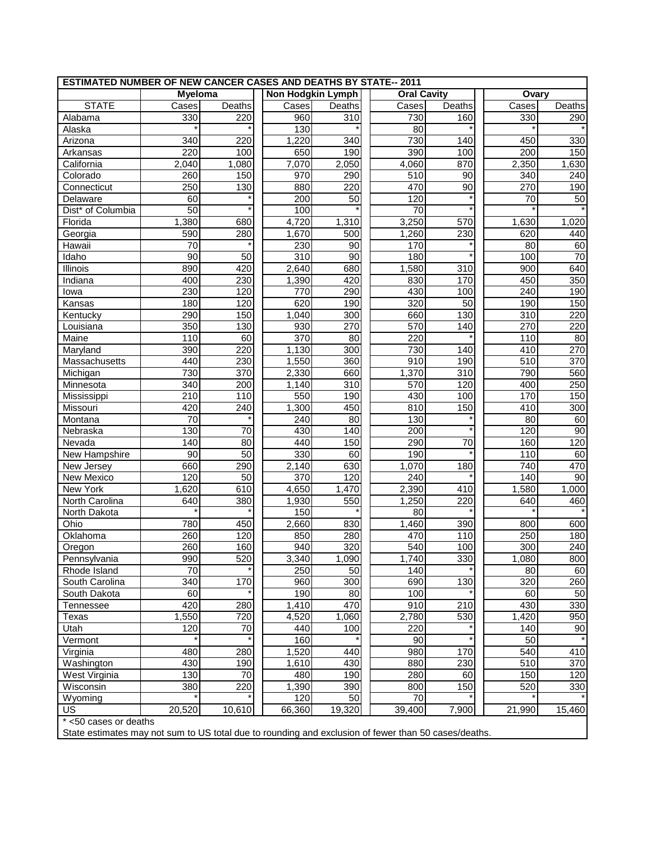| <b>ESTIMATED NUMBER OF NEW CANCER CASES AND DEATHS BY STATE-- 2011</b> |                  |         |                   |                 |  |                    |                  |                      |                 |
|------------------------------------------------------------------------|------------------|---------|-------------------|-----------------|--|--------------------|------------------|----------------------|-----------------|
|                                                                        | <b>Myeloma</b>   |         | Non Hodgkin Lymph |                 |  | <b>Oral Cavity</b> |                  | Ovary                |                 |
| <b>STATE</b>                                                           | Cases            | Deaths  | Cases             | Deaths          |  | Cases              | Deaths           | Cases                | <b>Deaths</b>   |
| Alabama                                                                | 330              | 220     | 960               | 310             |  | 730                | 160              | 330                  | 290             |
| Alaska                                                                 |                  |         | 130               |                 |  | 80                 |                  |                      |                 |
| Arizona                                                                | 340              | 220     | 1,220             | 340             |  | 730                | 140              | 450                  | 330             |
| Arkansas                                                               | $\overline{220}$ | 100     | 650               | 190             |  | 390                | 100              | 200                  | 150             |
| California                                                             | 2,040            | 1,080   | 7,070             | 2,050           |  | 4,060              | 870              | $\overline{2}$ , 350 | 1,630           |
| Colorado                                                               | 260              | 150     | 970               | 290             |  | 510                | 90               | 340                  | 240             |
| Connecticut                                                            | 250              | 130     | 880               | 220             |  | 470                | $\overline{90}$  | 270                  | 190             |
| Delaware                                                               | 60               |         | 200               | 50              |  | 120                |                  | 70                   | 50              |
| Dist* of Columbia                                                      | $\overline{50}$  |         | 100               |                 |  | $\overline{70}$    |                  |                      |                 |
| Florida                                                                | 1,380            | 680     | 4,720             | 1,310           |  | 3,250              | 570              | 1,630                | 1,020           |
| Georgia                                                                | 590              | 280     | 1,670             | 500             |  | 1,260              | 230              | 620                  | 440             |
| Hawaii                                                                 | $\overline{70}$  |         | 230               | 90              |  | 170                |                  | 80                   | 60              |
| Idaho                                                                  | 90               | 50      | 310               | 90              |  | 180                |                  | 100                  | 70              |
| Illinois                                                               | 890              | 420     | 2,640             | 680             |  | 1,580              | 310              | 900                  | 640             |
| Indiana                                                                | 400              | 230     | 1,390             | 420             |  | 830                | 170              | 450                  | 350             |
| lowa                                                                   | 230              | 120     | 770               | 290             |  | 430                | 100              | 240                  | 190             |
| Kansas                                                                 | 180              | 120     | 620               | 190             |  | 320                | 50               | 190                  | 150             |
| Kentucky                                                               | 290              | 150     | 1,040             | 300             |  | 660                | 130              | 310                  | 220             |
| Louisiana                                                              | 350              | 130     | 930               | 270             |  | 570                | 140              | 270                  | 220             |
| Maine                                                                  | 110              | 60      | 370               | $\overline{80}$ |  | 220                |                  | 110                  | $\overline{80}$ |
| Maryland                                                               | 390              | 220     | 1,130             | 300             |  | 730                | 140              | 410                  | 270             |
| Massachusetts                                                          | 440              | 230     | 1,550             | 360             |  | 910                | 190              | 510                  | 370             |
| Michigan                                                               | 730              | 370     | 2,330             | 660             |  | 1,370              | $\overline{310}$ | 790                  | 560             |
| Minnesota                                                              | 340              | 200     | 1,140             | 310             |  | 570                | 120              | 400                  | 250             |
| Mississippi                                                            | 210              | 110     | 550               | 190             |  | 430                | 100              | 170                  | 150             |
| Missouri                                                               | 420              | 240     | 1,300             | 450             |  | 810                | 150              | 410                  | 300             |
| Montana                                                                | 70               | $\star$ | 240               | $\overline{80}$ |  | 130                |                  | 80                   | 60              |
| Nebraska                                                               | 130              | 70      | 430               | 140             |  | 200                |                  | 120                  | 90              |
| Nevada                                                                 | 140              | 80      | 440               | 150             |  | 290                | 70               | 160                  | 120             |
| New Hampshire                                                          | 90               | 50      | 330               | 60              |  | 190                |                  | 110                  | 60              |
| New Jersey                                                             | 660              | 290     | 2,140             | 630             |  | 1,070              | 180              | 740                  | 470             |
| New Mexico                                                             | 120              | 50      | 370               | 120             |  | 240                |                  | 140                  | 90              |
| New York                                                               | 1,620            | 610     | 4,650             | 1,470           |  | 2,390              | 410              | 1,580                | 1,000           |
| North Carolina                                                         | 640              | 380     | 1,930             | 550             |  | 1,250              | 220              | 640                  | 460             |
| North Dakota                                                           |                  |         | 150               |                 |  | 80                 |                  |                      |                 |
| Ohio                                                                   | 780              | 450     | 2,660             | 830             |  | 1,460              | 390              | 800                  | 600             |
| Oklahoma                                                               | 260              | 120     | 850               | 280             |  | 470                | 110              | 250                  | 180             |
| Oregon                                                                 | 260              | 160     | 940               | 320             |  | 540                | 100              | 300                  | 240             |
| Pennsylvania                                                           | 990              | 520     | 3,340             | 1,090           |  | 1,740              | 330              | 1,080                | 800             |
| Rhode Island                                                           | 70               |         | 250               | 50              |  | 140                |                  | 80                   | 60              |
| South Carolina                                                         | 340              | 170     | 960               | 300             |  | 690                | 130              | 320                  | 260             |
| South Dakota                                                           | 60               |         | 190               | 80              |  | 100                |                  | 60                   | 50              |
| Tennessee                                                              | 420              | 280     | 1,410             | 470             |  | 910                | 210              | 430                  | 330             |
| <b>Texas</b>                                                           | 1,550            | 720     | 4,520             | 1,060           |  | 2,780              | 530              | 1,420                | 950             |
| Utah                                                                   | 120              | 70      | 440               | 100             |  | 220                |                  | 140                  | 90              |
| Vermont                                                                |                  |         | 160               |                 |  | 90                 |                  | 50                   |                 |
| Virginia                                                               | 480              | 280     | 1,520             | 440             |  | 980                | 170              | 540                  | 410             |
| Washington                                                             | 430              | 190     | 1,610             | 430             |  | 880                | 230              | 510                  | 370             |
| West Virginia                                                          | 130              | 70      | 480               | 190             |  | 280                | 60               | 150                  | 120             |
| Wisconsin                                                              | 380              | 220     | 1,390             | 390             |  | 800                | 150              | 520                  | 330             |
| Wyoming                                                                |                  |         | 120               | 50              |  | 70                 |                  |                      |                 |
| US                                                                     | 20,520           | 10,610  | 66,360            | 19,320          |  | 39,400             | 7,900            | 21,990               | 15,460          |
| * <50 cases or deaths                                                  |                  |         |                   |                 |  |                    |                  |                      |                 |
|                                                                        |                  |         |                   |                 |  |                    |                  |                      |                 |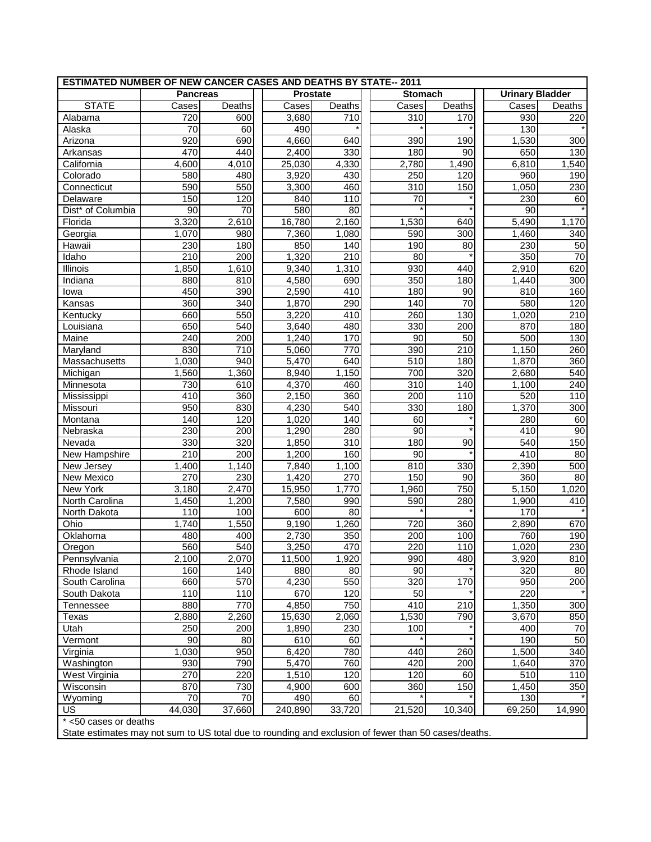| <b>ESTIMATED NUMBER OF NEW CANCER CASES AND DEATHS BY STATE-- 2011</b>                              |                 |        |                 |                    |                |        |                 |                        |                 |
|-----------------------------------------------------------------------------------------------------|-----------------|--------|-----------------|--------------------|----------------|--------|-----------------|------------------------|-----------------|
|                                                                                                     | <b>Pancreas</b> |        | <b>Prostate</b> |                    | <b>Stomach</b> |        |                 | <b>Urinary Bladder</b> |                 |
| <b>STATE</b>                                                                                        | Cases           | Deaths | Cases           | Deaths             |                | Cases  | Deaths          | Cases                  | Deaths          |
| Alabama                                                                                             | 720             | 600    | 3,680           | 710                |                | 310    | 170             | 930                    | 220             |
| Alaska                                                                                              | 70              | 60     | 490             |                    |                |        |                 | 130                    |                 |
| Arizona                                                                                             | 920             | 690    | 4,660           | 640                |                | 390    | 190             | 1,530                  | 300             |
| Arkansas                                                                                            | 470             | 440    | 2,400           | 330                |                | 180    | 90              | 650                    | 130             |
| California                                                                                          | 4,600           | 4,010  | 25,030          | 4,330              |                | 2,780  | 1,490           | 6,810                  | 1,540           |
| Colorado                                                                                            | 580             | 480    | 3,920           | 430                |                | 250    | 120             | 960                    | 190             |
| Connecticut                                                                                         | 590             | 550    | 3,300           | 460                |                | 310    | 150             | 1,050                  | 230             |
| Delaware                                                                                            | 150             | 120    | 840             | 110                |                | 70     |                 | 230                    | 60              |
| Dist <sup>*</sup> of Columbia                                                                       | $\overline{90}$ | 70     | 580             | 80                 |                |        |                 | 90                     |                 |
| Florida                                                                                             | 3,320           | 2,610  | 16,780          | $\overline{2,}160$ |                | 1,530  | 640             | 5,490                  | 1,170           |
| Georgia                                                                                             | 1,070           | 980    | 7,360           | 1,080              |                | 590    | 300             | 1,460                  | 340             |
| Hawaii                                                                                              | 230             | 180    | 850             | 140                |                | 190    | 80              | 230                    | $\overline{50}$ |
| Idaho                                                                                               | 210             | 200    | 1,320           | 210                |                | 80     |                 | 350                    | $\overline{70}$ |
| Illinois                                                                                            | 1,850           | 1,610  | 9,340           | 1,310              |                | 930    | 440             | 2,910                  | 620             |
| Indiana                                                                                             | 880             | 810    | 4,580           | 690                |                | 350    | 180             | 1,440                  | 300             |
| lowa                                                                                                | 450             | 390    | 2,590           | 410                |                | 180    | 90              | 810                    | 160             |
| Kansas                                                                                              | 360             | 340    | 1,870           | 290                |                | 140    | $\overline{70}$ | 580                    | 120             |
| Kentucky                                                                                            | 660             | 550    | 3,220           | 410                |                | 260    | 130             | 1,020                  | 210             |
| Louisiana                                                                                           | 650             | 540    | 3,640           | 480                |                | 330    | 200             | 870                    | 180             |
| Maine                                                                                               | 240             | 200    | 1,240           | 170                |                | 90     | 50              | 500                    | 130             |
| Maryland                                                                                            | 830             | 710    | 5,060           | 770                |                | 390    | 210             | 1,150                  | 260             |
| Massachusetts                                                                                       | 1,030           | 940    | 5,470           | 640                |                | 510    | 180             | 1,870                  | 360             |
| Michigan                                                                                            | 1,560           | 1,360  | 8,940           | 1,150              |                | 700    | 320             | 2,680                  | 540             |
| Minnesota                                                                                           | 730             | 610    | 4,370           | 460                |                | 310    | 140             | 1,100                  | 240             |
| Mississippi                                                                                         | 410             | 360    | 2,150           | 360                |                | 200    | 110             | 520                    | 110             |
| Missouri                                                                                            | 950             | 830    | 4,230           | $\overline{540}$   |                | 330    | 180             | 1,370                  | 300             |
| Montana                                                                                             | 140             | 120    | 1,020           | 140                |                | 60     |                 | 280                    | 60              |
| Nebraska                                                                                            | 230             | 200    | 1,290           | 280                |                | 90     |                 | 410                    | 90              |
| Nevada                                                                                              | 330             | 320    | 1,850           | 310                |                | 180    | 90              | 540                    | 150             |
| New Hampshire                                                                                       | 210             | 200    | 1,200           | 160                |                | 90     |                 | 410                    | 80              |
| New Jersey                                                                                          | 1,400           | 1,140  | 7,840           | 1,100              |                | 810    | 330             | 2,390                  | 500             |
| New Mexico                                                                                          | 270             | 230    | 1,420           | 270                |                | 150    | 90              | 360                    | 80              |
| New York                                                                                            | 3,180           | 2,470  | 15,950          | 1,770              |                | 1,960  | 750             | 5,150                  | 1,020           |
| North Carolina                                                                                      | 1,450           | 1,200  | 7,580           | 990                |                | 590    | 280             | 1,900                  | 410             |
| North Dakota                                                                                        | 110             | 100    | 600             | 80                 |                |        |                 | 170                    |                 |
| Ohio                                                                                                | 1,740           | 1,550  | 9,190           | 1,260              |                | 720    | 360             | 2,890                  | 670             |
| Oklahoma                                                                                            | 480             | 400    | 2,730           | 350                |                | 200    | 100             | 760                    | 190             |
| Oregon                                                                                              | 560             | 540    | 3,250           | 470                |                | 220    | 110             | 1,020                  | 230             |
| Pennsylvania                                                                                        | 2,100           | 2,070  | 11,500          | 1,920              |                | 990    | 480             | 3,920                  | 810             |
| Rhode Island                                                                                        | 160             | 140    | 880             | 80                 |                | 90     |                 | 320                    | 80              |
| South Carolina                                                                                      | 660             | 570    | 4,230           | 550                |                | 320    | 170             | 950                    | 200             |
| South Dakota                                                                                        | 110             | 110    | 670             | 120                |                | 50     |                 | 220                    |                 |
| Tennessee                                                                                           | 880             | 770    | 4,850           | 750                |                | 410    | 210             | 1,350                  | 300             |
| Texas                                                                                               | 2,880           | 2,260  | 15,630          | 2,060              |                | 1,530  | 790             | 3,670                  | 850             |
| Utah                                                                                                | 250             | 200    | 1,890           | 230                |                | 100    |                 | 400                    | 70              |
| Vermont                                                                                             | 90              | 80     | 610             | 60                 |                |        |                 | 190                    | 50              |
| Virginia                                                                                            | 1,030           | 950    | 6,420           | 780                |                | 440    | 260             | 1,500                  | 340             |
| Washington                                                                                          | 930             | 790    | 5,470           | 760                |                | 420    | 200             | 1,640                  | 370             |
| West Virginia                                                                                       | 270             | 220    | 1,510           | 120                |                | 120    | 60              | 510                    | 110             |
| Wisconsin                                                                                           | 870             | 730    | 4,900           | 600                |                | 360    | 150             | 1,450                  | 350             |
| Wyoming                                                                                             | 70              | 70     | 490             | 60                 |                |        |                 | 130                    |                 |
| US                                                                                                  | 44,030          | 37,660 | 240,890         | 33,720             |                | 21,520 | 10,340          | 69,250                 | 14,990          |
| * <50 cases or deaths                                                                               |                 |        |                 |                    |                |        |                 |                        |                 |
| State optimates may not sum to US total due to reunding and evolution of four than 50 cases/doother |                 |        |                 |                    |                |        |                 |                        |                 |